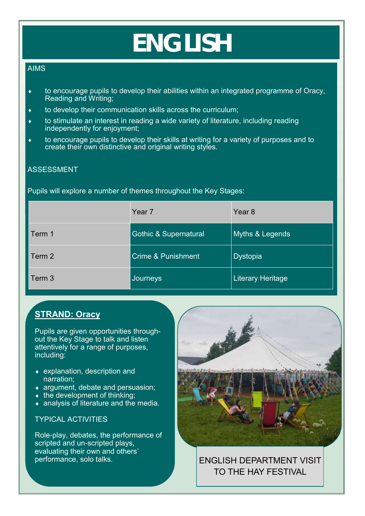# **ENGLISH**

#### AIMS

- to encourage pupils to develop their abilities within an integrated programme of Oracy, Reading and Writing;
- to develop their communication skills across the curriculum;
- to stimulate an interest in reading a wide variety of literature, including reading independently for enjoyment;
- to encourage pupils to develop their skills at writing for a variety of purposes and to create their own distinctive and original writing styles.

### ASSESSMENT

#### Pupils will explore a number of themes throughout the Key Stages:

|        | Year <sub>7</sub>                | Year <sub>8</sub> |
|--------|----------------------------------|-------------------|
| Term 1 | <b>Gothic &amp; Supernatural</b> | Myths & Legends   |
| Term 2 | <b>Crime &amp; Punishment</b>    | <b>Dystopia</b>   |
| Term 3 | Journeys                         | Literary Heritage |

## **STRAND: Oracy**

Pupils are given opportunities throughout the Key Stage to talk and listen attentively for a range of purposes, including:

- explanation, description and narration;
- **argument, debate and persuasion:**
- $\bullet$  the development of thinking;
- **analysis of literature and the media.**

#### TYPICAL ACTIVITIES

Role-play, debates, the performance of scripted and un-scripted plays, evaluating their own and others' performance, solo talks.



ENGLISH DEPARTMENT VISIT TO THE HAY FESTIVAL